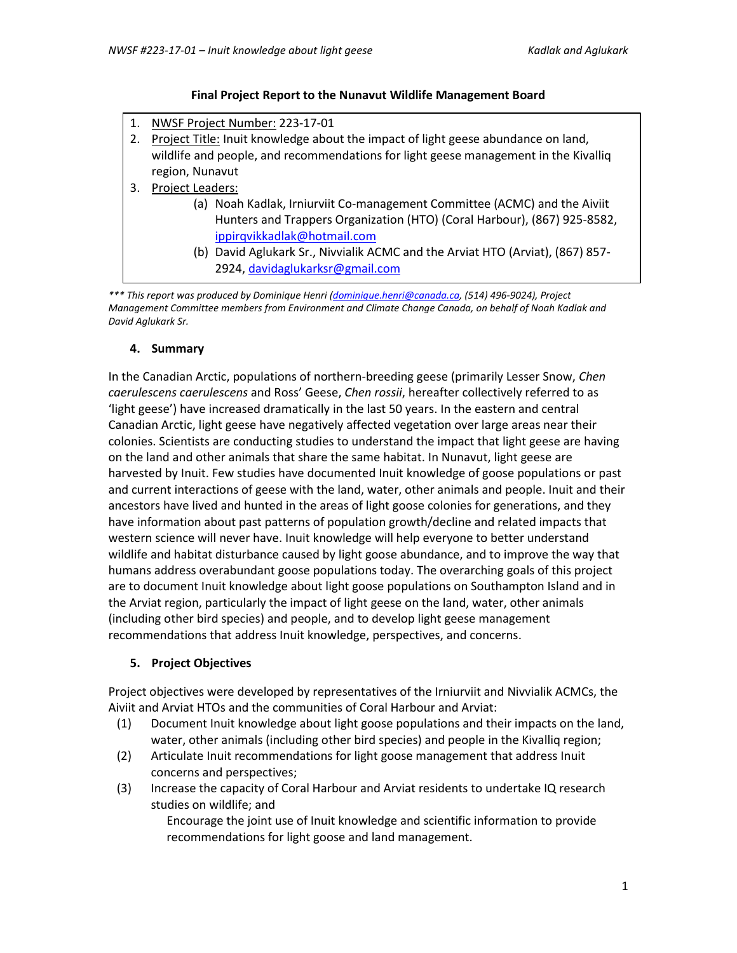#### **Final Project Report to the Nunavut Wildlife Management Board**

- 1. NWSF Project Number: 223-17-01
- 2. Project Title: Inuit knowledge about the impact of light geese abundance on land, wildlife and people, and recommendations for light geese management in the Kivalliq region, Nunavut
- 3. Project Leaders:
	- (a) Noah Kadlak, Irniurviit Co-management Committee (ACMC) and the Aiviit Hunters and Trappers Organization (HTO) (Coral Harbour), (867) 925-8582, [ippirqvikkadlak@hotmail.com](mailto:ippirqvikkadlak@hotmail.com)
	- (b) David Aglukark Sr., Nivvialik ACMC and the Arviat HTO (Arviat), (867) 857- 2924, [davidaglukarksr@gmail.com](mailto:davidaglukarksr@gmail.com)

*\*\*\* This report was produced by Dominique Henri [\(dominique.henri@canada.ca,](mailto:dominique.henri@canada.ca) (514) 496-9024), Project Management Committee members from Environment and Climate Change Canada, on behalf of Noah Kadlak and David Aglukark Sr.*

#### **4. Summary**

In the Canadian Arctic, populations of northern-breeding geese (primarily Lesser Snow, *Chen caerulescens caerulescens* and Ross' Geese, *Chen rossii*, hereafter collectively referred to as 'light geese') have increased dramatically in the last 50 years. In the eastern and central Canadian Arctic, light geese have negatively affected vegetation over large areas near their colonies. Scientists are conducting studies to understand the impact that light geese are having on the land and other animals that share the same habitat. In Nunavut, light geese are harvested by Inuit. Few studies have documented Inuit knowledge of goose populations or past and current interactions of geese with the land, water, other animals and people. Inuit and their ancestors have lived and hunted in the areas of light goose colonies for generations, and they have information about past patterns of population growth/decline and related impacts that western science will never have. Inuit knowledge will help everyone to better understand wildlife and habitat disturbance caused by light goose abundance, and to improve the way that humans address overabundant goose populations today. The overarching goals of this project are to document Inuit knowledge about light goose populations on Southampton Island and in the Arviat region, particularly the impact of light geese on the land, water, other animals (including other bird species) and people, and to develop light geese management recommendations that address Inuit knowledge, perspectives, and concerns.

## **5. Project Objectives**

Project objectives were developed by representatives of the Irniurviit and Nivvialik ACMCs, the Aiviit and Arviat HTOs and the communities of Coral Harbour and Arviat:

- (1) Document Inuit knowledge about light goose populations and their impacts on the land, water, other animals (including other bird species) and people in the Kivalliq region;
- (2) Articulate Inuit recommendations for light goose management that address Inuit concerns and perspectives;
- (3) Increase the capacity of Coral Harbour and Arviat residents to undertake IQ research studies on wildlife; and

Encourage the joint use of Inuit knowledge and scientific information to provide recommendations for light goose and land management.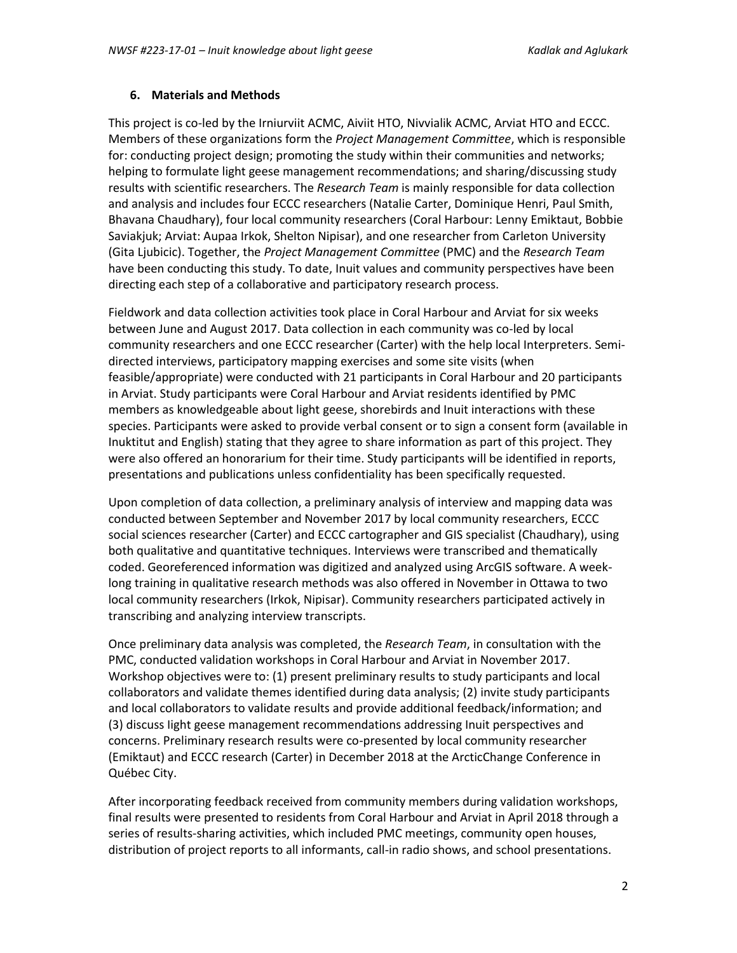#### **6. Materials and Methods**

This project is co-led by the Irniurviit ACMC, Aiviit HTO, Nivvialik ACMC, Arviat HTO and ECCC. Members of these organizations form the *Project Management Committee*, which is responsible for: conducting project design; promoting the study within their communities and networks; helping to formulate light geese management recommendations; and sharing/discussing study results with scientific researchers. The *Research Team* is mainly responsible for data collection and analysis and includes four ECCC researchers (Natalie Carter, Dominique Henri, Paul Smith, Bhavana Chaudhary), four local community researchers (Coral Harbour: Lenny Emiktaut, Bobbie Saviakjuk; Arviat: Aupaa Irkok, Shelton Nipisar), and one researcher from Carleton University (Gita Ljubicic). Together, the *Project Management Committee* (PMC) and the *Research Team*  have been conducting this study. To date, Inuit values and community perspectives have been directing each step of a collaborative and participatory research process.

Fieldwork and data collection activities took place in Coral Harbour and Arviat for six weeks between June and August 2017. Data collection in each community was co-led by local community researchers and one ECCC researcher (Carter) with the help local Interpreters. Semidirected interviews, participatory mapping exercises and some site visits (when feasible/appropriate) were conducted with 21 participants in Coral Harbour and 20 participants in Arviat. Study participants were Coral Harbour and Arviat residents identified by PMC members as knowledgeable about light geese, shorebirds and Inuit interactions with these species. Participants were asked to provide verbal consent or to sign a consent form (available in Inuktitut and English) stating that they agree to share information as part of this project. They were also offered an honorarium for their time. Study participants will be identified in reports, presentations and publications unless confidentiality has been specifically requested.

Upon completion of data collection, a preliminary analysis of interview and mapping data was conducted between September and November 2017 by local community researchers, ECCC social sciences researcher (Carter) and ECCC cartographer and GIS specialist (Chaudhary), using both qualitative and quantitative techniques. Interviews were transcribed and thematically coded. Georeferenced information was digitized and analyzed using ArcGIS software. A weeklong training in qualitative research methods was also offered in November in Ottawa to two local community researchers (Irkok, Nipisar). Community researchers participated actively in transcribing and analyzing interview transcripts.

Once preliminary data analysis was completed, the *Research Team*, in consultation with the PMC, conducted validation workshops in Coral Harbour and Arviat in November 2017. Workshop objectives were to: (1) present preliminary results to study participants and local collaborators and validate themes identified during data analysis; (2) invite study participants and local collaborators to validate results and provide additional feedback/information; and (3) discuss Iight geese management recommendations addressing Inuit perspectives and concerns. Preliminary research results were co-presented by local community researcher (Emiktaut) and ECCC research (Carter) in December 2018 at the ArcticChange Conference in Québec City.

After incorporating feedback received from community members during validation workshops, final results were presented to residents from Coral Harbour and Arviat in April 2018 through a series of results-sharing activities, which included PMC meetings, community open houses, distribution of project reports to all informants, call-in radio shows, and school presentations.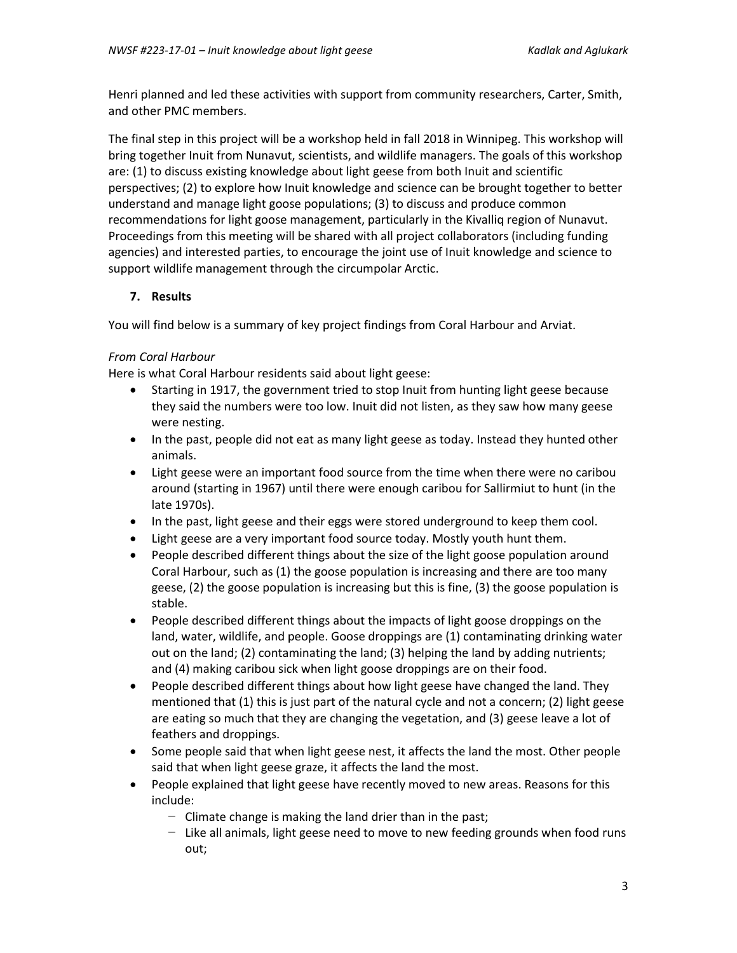Henri planned and led these activities with support from community researchers, Carter, Smith, and other PMC members.

The final step in this project will be a workshop held in fall 2018 in Winnipeg. This workshop will bring together Inuit from Nunavut, scientists, and wildlife managers. The goals of this workshop are: (1) to discuss existing knowledge about light geese from both Inuit and scientific perspectives; (2) to explore how Inuit knowledge and science can be brought together to better understand and manage light goose populations; (3) to discuss and produce common recommendations for light goose management, particularly in the Kivalliq region of Nunavut. Proceedings from this meeting will be shared with all project collaborators (including funding agencies) and interested parties, to encourage the joint use of Inuit knowledge and science to support wildlife management through the circumpolar Arctic.

## **7. Results**

You will find below is a summary of key project findings from Coral Harbour and Arviat.

#### *From Coral Harbour*

Here is what Coral Harbour residents said about light geese:

- Starting in 1917, the government tried to stop Inuit from hunting light geese because they said the numbers were too low. Inuit did not listen, as they saw how many geese were nesting.
- In the past, people did not eat as many light geese as today. Instead they hunted other animals.
- Light geese were an important food source from the time when there were no caribou around (starting in 1967) until there were enough caribou for Sallirmiut to hunt (in the late 1970s).
- In the past, light geese and their eggs were stored underground to keep them cool.
- Light geese are a very important food source today. Mostly youth hunt them.
- People described different things about the size of the light goose population around Coral Harbour, such as (1) the goose population is increasing and there are too many geese, (2) the goose population is increasing but this is fine, (3) the goose population is stable.
- People described different things about the impacts of light goose droppings on the land, water, wildlife, and people. Goose droppings are (1) contaminating drinking water out on the land; (2) contaminating the land; (3) helping the land by adding nutrients; and (4) making caribou sick when light goose droppings are on their food.
- People described different things about how light geese have changed the land. They mentioned that (1) this is just part of the natural cycle and not a concern; (2) light geese are eating so much that they are changing the vegetation, and (3) geese leave a lot of feathers and droppings.
- Some people said that when light geese nest, it affects the land the most. Other people said that when light geese graze, it affects the land the most.
- People explained that light geese have recently moved to new areas. Reasons for this include:
	- − Climate change is making the land drier than in the past;
	- − Like all animals, light geese need to move to new feeding grounds when food runs out;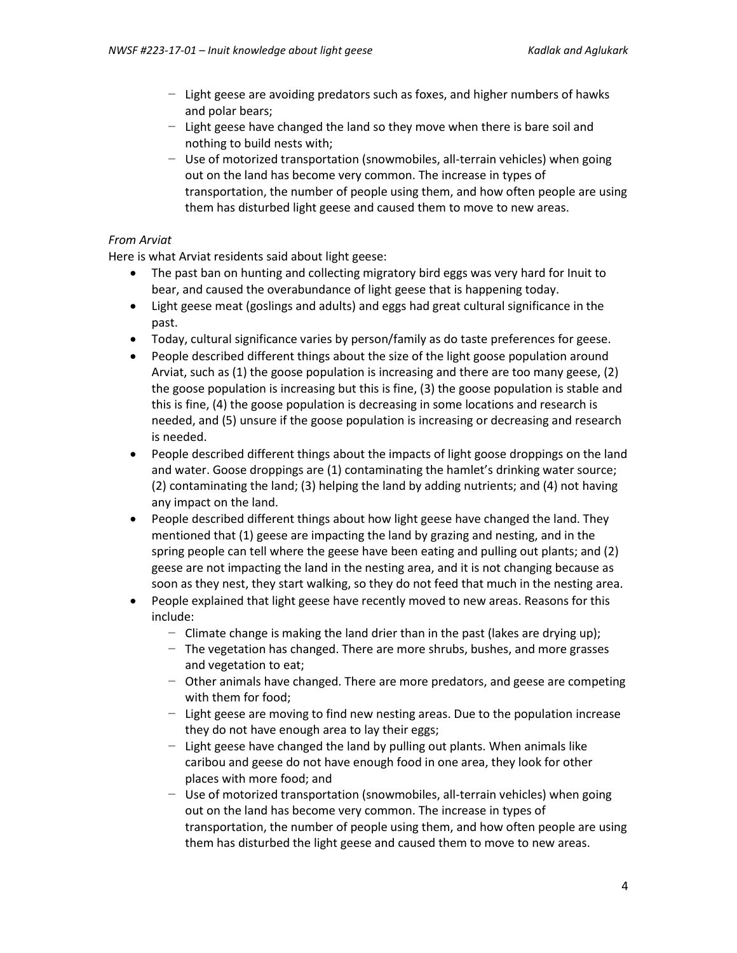- − Light geese are avoiding predators such as foxes, and higher numbers of hawks and polar bears;
- − Light geese have changed the land so they move when there is bare soil and nothing to build nests with;
- − Use of motorized transportation (snowmobiles, all-terrain vehicles) when going out on the land has become very common. The increase in types of transportation, the number of people using them, and how often people are using them has disturbed light geese and caused them to move to new areas.

#### *From Arviat*

Here is what Arviat residents said about light geese:

- The past ban on hunting and collecting migratory bird eggs was very hard for Inuit to bear, and caused the overabundance of light geese that is happening today.
- Light geese meat (goslings and adults) and eggs had great cultural significance in the past.
- Today, cultural significance varies by person/family as do taste preferences for geese.
- People described different things about the size of the light goose population around Arviat, such as (1) the goose population is increasing and there are too many geese, (2) the goose population is increasing but this is fine, (3) the goose population is stable and this is fine, (4) the goose population is decreasing in some locations and research is needed, and (5) unsure if the goose population is increasing or decreasing and research is needed.
- People described different things about the impacts of light goose droppings on the land and water. Goose droppings are (1) contaminating the hamlet's drinking water source; (2) contaminating the land; (3) helping the land by adding nutrients; and (4) not having any impact on the land.
- People described different things about how light geese have changed the land. They mentioned that (1) geese are impacting the land by grazing and nesting, and in the spring people can tell where the geese have been eating and pulling out plants; and (2) geese are not impacting the land in the nesting area, and it is not changing because as soon as they nest, they start walking, so they do not feed that much in the nesting area.
- People explained that light geese have recently moved to new areas. Reasons for this include:
	- − Climate change is making the land drier than in the past (lakes are drying up);
	- − The vegetation has changed. There are more shrubs, bushes, and more grasses and vegetation to eat;
	- − Other animals have changed. There are more predators, and geese are competing with them for food;
	- − Light geese are moving to find new nesting areas. Due to the population increase they do not have enough area to lay their eggs;
	- − Light geese have changed the land by pulling out plants. When animals like caribou and geese do not have enough food in one area, they look for other places with more food; and
	- − Use of motorized transportation (snowmobiles, all-terrain vehicles) when going out on the land has become very common. The increase in types of transportation, the number of people using them, and how often people are using them has disturbed the light geese and caused them to move to new areas.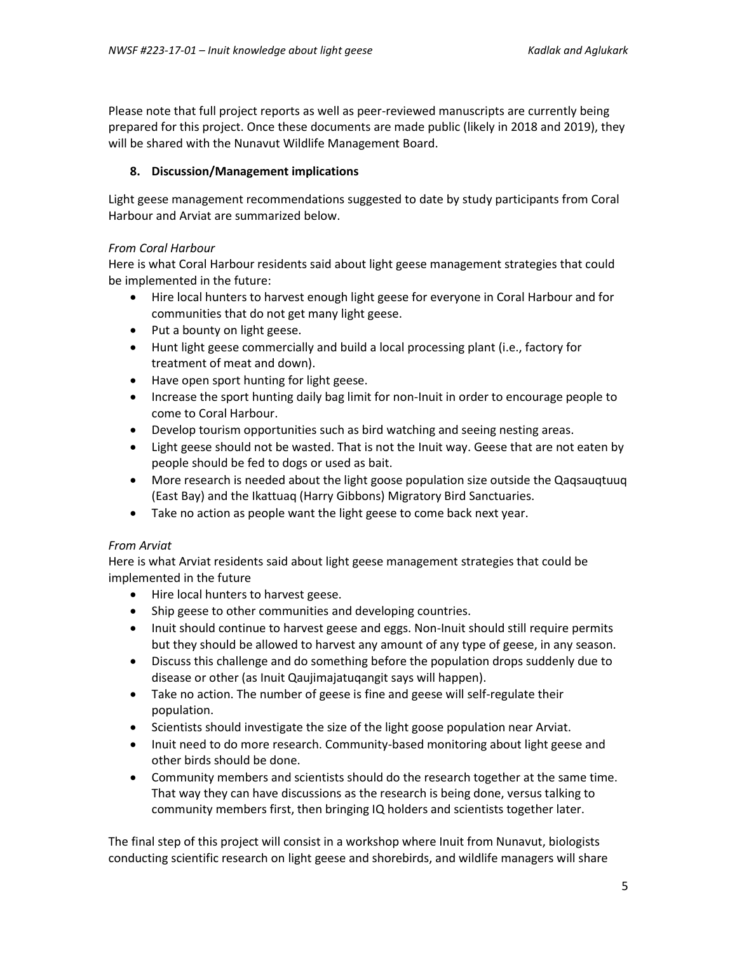Please note that full project reports as well as peer-reviewed manuscripts are currently being prepared for this project. Once these documents are made public (likely in 2018 and 2019), they will be shared with the Nunavut Wildlife Management Board.

## **8. Discussion/Management implications**

Light geese management recommendations suggested to date by study participants from Coral Harbour and Arviat are summarized below.

## *From Coral Harbour*

Here is what Coral Harbour residents said about light geese management strategies that could be implemented in the future:

- Hire local hunters to harvest enough light geese for everyone in Coral Harbour and for communities that do not get many light geese.
- Put a bounty on light geese.
- Hunt light geese commercially and build a local processing plant (i.e., factory for treatment of meat and down).
- Have open sport hunting for light geese.
- Increase the sport hunting daily bag limit for non-Inuit in order to encourage people to come to Coral Harbour.
- Develop tourism opportunities such as bird watching and seeing nesting areas.
- Light geese should not be wasted. That is not the Inuit way. Geese that are not eaten by people should be fed to dogs or used as bait.
- More research is needed about the light goose population size outside the Qaqsauqtuuq (East Bay) and the Ikattuaq (Harry Gibbons) Migratory Bird Sanctuaries.
- Take no action as people want the light geese to come back next year.

## *From Arviat*

Here is what Arviat residents said about light geese management strategies that could be implemented in the future

- Hire local hunters to harvest geese.
- Ship geese to other communities and developing countries.
- Inuit should continue to harvest geese and eggs. Non-Inuit should still require permits but they should be allowed to harvest any amount of any type of geese, in any season.
- Discuss this challenge and do something before the population drops suddenly due to disease or other (as Inuit Qaujimajatuqangit says will happen).
- Take no action. The number of geese is fine and geese will self-regulate their population.
- Scientists should investigate the size of the light goose population near Arviat.
- Inuit need to do more research. Community-based monitoring about light geese and other birds should be done.
- Community members and scientists should do the research together at the same time. That way they can have discussions as the research is being done, versus talking to community members first, then bringing IQ holders and scientists together later.

The final step of this project will consist in a workshop where Inuit from Nunavut, biologists conducting scientific research on light geese and shorebirds, and wildlife managers will share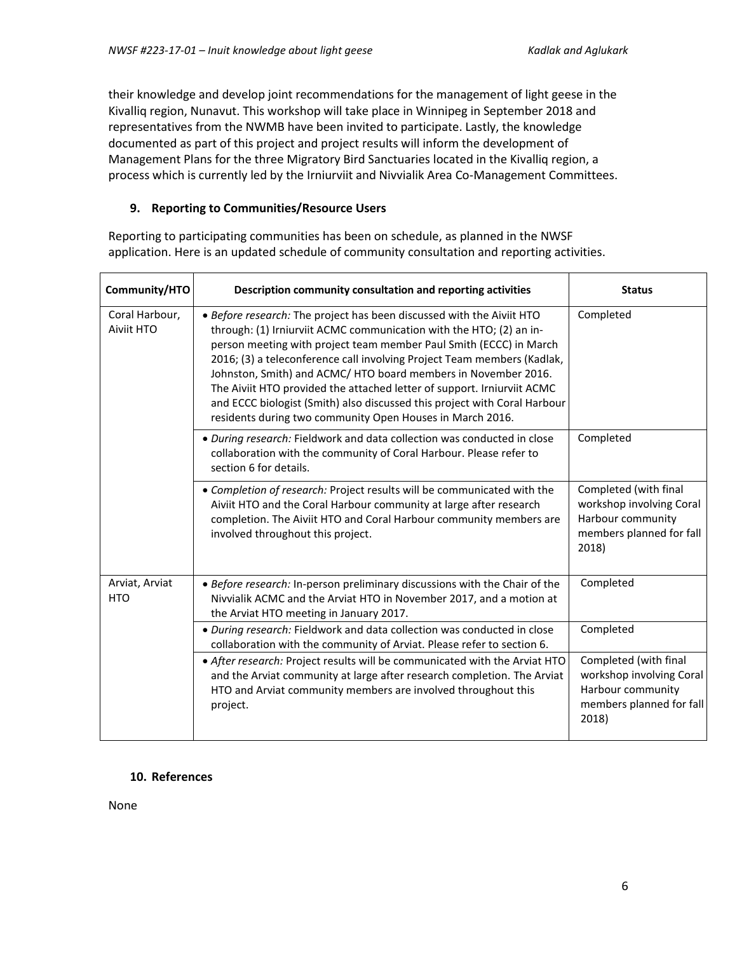their knowledge and develop joint recommendations for the management of light geese in the Kivalliq region, Nunavut. This workshop will take place in Winnipeg in September 2018 and representatives from the NWMB have been invited to participate. Lastly, the knowledge documented as part of this project and project results will inform the development of Management Plans for the three Migratory Bird Sanctuaries located in the Kivalliq region, a process which is currently led by the Irniurviit and Nivvialik Area Co-Management Committees.

## **9. Reporting to Communities/Resource Users**

Reporting to participating communities has been on schedule, as planned in the NWSF application. Here is an updated schedule of community consultation and reporting activities.

| Community/HTO                | Description community consultation and reporting activities                                                                                                                                                                                                                                                                                                                                                                                                                                                                                                                         | <b>Status</b>                                                                                               |
|------------------------------|-------------------------------------------------------------------------------------------------------------------------------------------------------------------------------------------------------------------------------------------------------------------------------------------------------------------------------------------------------------------------------------------------------------------------------------------------------------------------------------------------------------------------------------------------------------------------------------|-------------------------------------------------------------------------------------------------------------|
| Coral Harbour,<br>Aiviit HTO | . Before research: The project has been discussed with the Aiviit HTO<br>through: (1) Irniurviit ACMC communication with the HTO; (2) an in-<br>person meeting with project team member Paul Smith (ECCC) in March<br>2016; (3) a teleconference call involving Project Team members (Kadlak,<br>Johnston, Smith) and ACMC/HTO board members in November 2016.<br>The Aiviit HTO provided the attached letter of support. Irniurviit ACMC<br>and ECCC biologist (Smith) also discussed this project with Coral Harbour<br>residents during two community Open Houses in March 2016. | Completed                                                                                                   |
|                              | · During research: Fieldwork and data collection was conducted in close<br>collaboration with the community of Coral Harbour. Please refer to<br>section 6 for details.                                                                                                                                                                                                                                                                                                                                                                                                             | Completed                                                                                                   |
|                              | • Completion of research: Project results will be communicated with the<br>Aiviit HTO and the Coral Harbour community at large after research<br>completion. The Aiviit HTO and Coral Harbour community members are<br>involved throughout this project.                                                                                                                                                                                                                                                                                                                            | Completed (with final<br>workshop involving Coral<br>Harbour community<br>members planned for fall<br>2018) |
| Arviat, Arviat<br><b>HTO</b> | • Before research: In-person preliminary discussions with the Chair of the<br>Nivvialik ACMC and the Arviat HTO in November 2017, and a motion at<br>the Arviat HTO meeting in January 2017.                                                                                                                                                                                                                                                                                                                                                                                        | Completed                                                                                                   |
|                              | · During research: Fieldwork and data collection was conducted in close<br>collaboration with the community of Arviat. Please refer to section 6.                                                                                                                                                                                                                                                                                                                                                                                                                                   | Completed                                                                                                   |
|                              | • After research: Project results will be communicated with the Arviat HTO<br>and the Arviat community at large after research completion. The Arviat<br>HTO and Arviat community members are involved throughout this<br>project.                                                                                                                                                                                                                                                                                                                                                  | Completed (with final<br>workshop involving Coral<br>Harbour community<br>members planned for fall<br>2018) |

#### **10. References**

None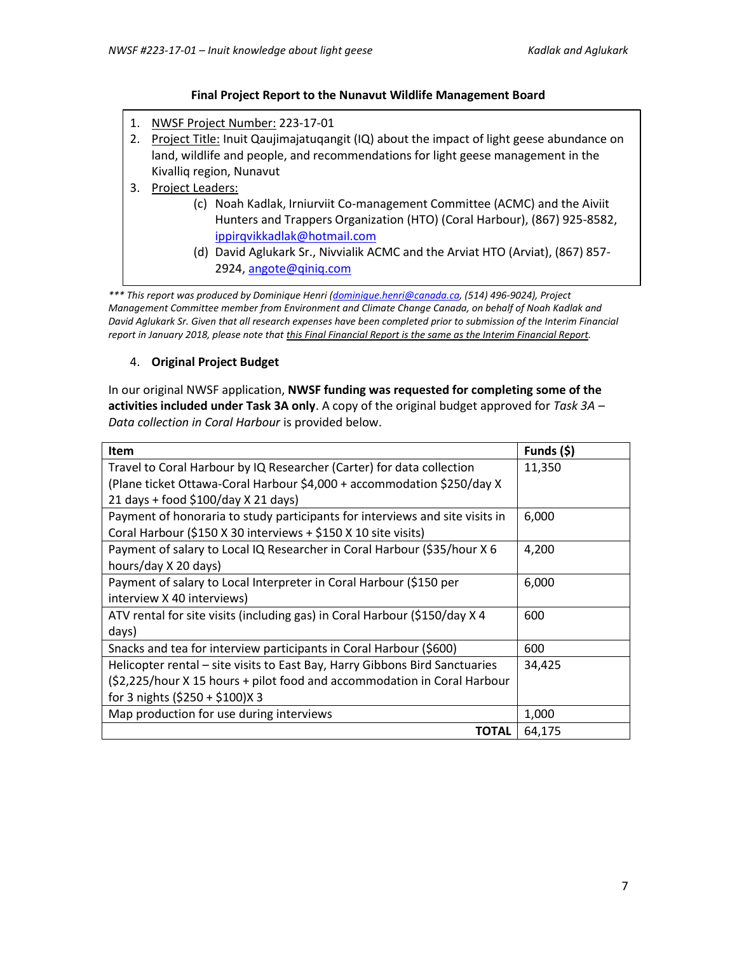#### **Final Project Report to the Nunavut Wildlife Management Board**

- 1. NWSF Project Number: 223-17-01
- 2. Project Title: Inuit Qaujimajatuqangit (IQ) about the impact of light geese abundance on land, wildlife and people, and recommendations for light geese management in the Kivalliq region, Nunavut
- 3. Project Leaders:
	- (c) Noah Kadlak, Irniurviit Co-management Committee (ACMC) and the Aiviit Hunters and Trappers Organization (HTO) (Coral Harbour), (867) 925-8582, [ippirqvikkadlak@hotmail.com](mailto:ippirqvikkadlak@hotmail.com)
	- (d) David Aglukark Sr., Nivvialik ACMC and the Arviat HTO (Arviat), (867) 857- 2924, [angote@qiniq.com](mailto:angote@qiniq.com)

*\*\*\* This report was produced by Dominique Henri [\(dominique.henri@canada.ca,](mailto:dominique.henri@canada.ca) (514) 496-9024), Project Management Committee member from Environment and Climate Change Canada, on behalf of Noah Kadlak and David Aglukark Sr. Given that all research expenses have been completed prior to submission of the Interim Financial report in January 2018, please note that this Final Financial Report is the same as the Interim Financial Report.*

## 4. **Original Project Budget**

In our original NWSF application, **NWSF funding was requested for completing some of the activities included under Task 3A only**. A copy of the original budget approved for *Task 3A – Data collection in Coral Harbour* is provided below.

| <b>Item</b>                                                                  | Funds (\$) |
|------------------------------------------------------------------------------|------------|
| Travel to Coral Harbour by IQ Researcher (Carter) for data collection        | 11,350     |
| (Plane ticket Ottawa-Coral Harbour \$4,000 + accommodation \$250/day X       |            |
| 21 days + food \$100/day X 21 days)                                          |            |
| Payment of honoraria to study participants for interviews and site visits in | 6,000      |
| Coral Harbour (\$150 X 30 interviews + \$150 X 10 site visits)               |            |
| Payment of salary to Local IQ Researcher in Coral Harbour (\$35/hour X 6     | 4,200      |
| hours/day X 20 days)                                                         |            |
| Payment of salary to Local Interpreter in Coral Harbour (\$150 per           | 6,000      |
| interview X 40 interviews)                                                   |            |
| ATV rental for site visits (including gas) in Coral Harbour (\$150/day X 4   | 600        |
| days)                                                                        |            |
| Snacks and tea for interview participants in Coral Harbour (\$600)           | 600        |
| Helicopter rental – site visits to East Bay, Harry Gibbons Bird Sanctuaries  | 34,425     |
| (\$2,225/hour X 15 hours + pilot food and accommodation in Coral Harbour     |            |
| for 3 nights (\$250 + \$100)X 3                                              |            |
| Map production for use during interviews                                     | 1,000      |
| TOTAL                                                                        | 64,175     |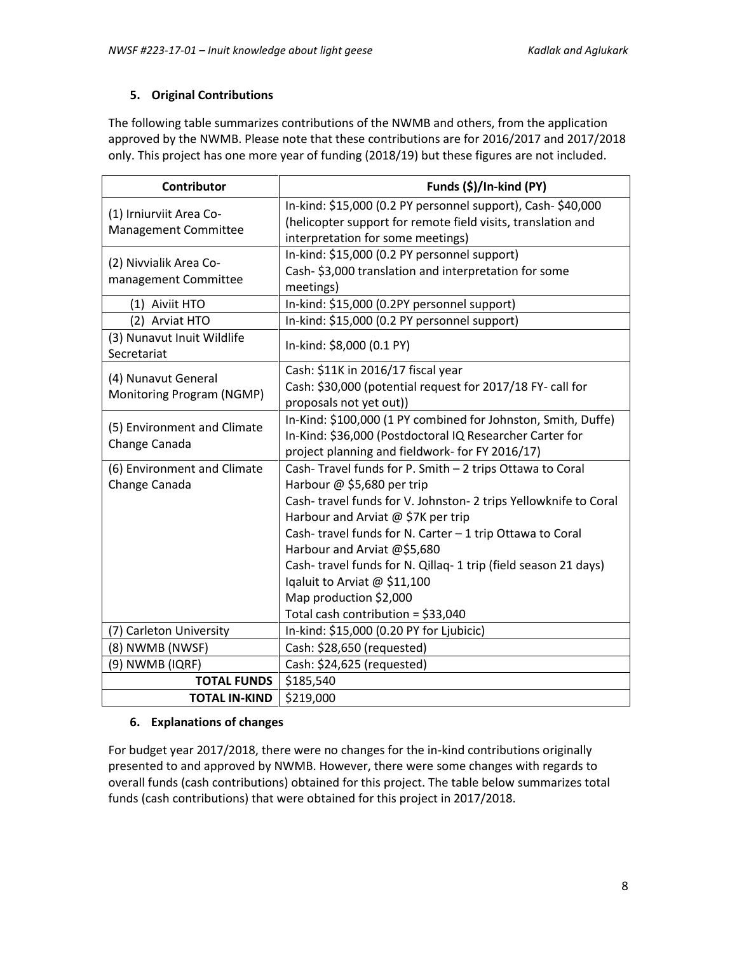# **5. Original Contributions**

The following table summarizes contributions of the NWMB and others, from the application approved by the NWMB. Please note that these contributions are for 2016/2017 and 2017/2018 only. This project has one more year of funding (2018/19) but these figures are not included.

| Contributor                                                   | Funds (\$)/In-kind (PY)                                        |  |  |
|---------------------------------------------------------------|----------------------------------------------------------------|--|--|
| (1) Irniurviit Area Co-                                       | In-kind: \$15,000 (0.2 PY personnel support), Cash- \$40,000   |  |  |
| Management Committee                                          | (helicopter support for remote field visits, translation and   |  |  |
|                                                               | interpretation for some meetings)                              |  |  |
| (2) Nivvialik Area Co-                                        | In-kind: \$15,000 (0.2 PY personnel support)                   |  |  |
| management Committee                                          | Cash-\$3,000 translation and interpretation for some           |  |  |
|                                                               | meetings)                                                      |  |  |
| In-kind: \$15,000 (0.2PY personnel support)<br>(1) Aiviit HTO |                                                                |  |  |
| (2) Arviat HTO                                                | In-kind: \$15,000 (0.2 PY personnel support)                   |  |  |
| (3) Nunavut Inuit Wildlife                                    | In-kind: \$8,000 (0.1 PY)                                      |  |  |
| Secretariat                                                   |                                                                |  |  |
| (4) Nunavut General                                           | Cash: \$11K in 2016/17 fiscal year                             |  |  |
| Monitoring Program (NGMP)                                     | Cash: \$30,000 (potential request for 2017/18 FY- call for     |  |  |
|                                                               | proposals not yet out))                                        |  |  |
| (5) Environment and Climate                                   | In-Kind: \$100,000 (1 PY combined for Johnston, Smith, Duffe)  |  |  |
| Change Canada                                                 | In-Kind: \$36,000 (Postdoctoral IQ Researcher Carter for       |  |  |
|                                                               | project planning and fieldwork- for FY 2016/17)                |  |  |
| (6) Environment and Climate                                   | Cash-Travel funds for P. Smith - 2 trips Ottawa to Coral       |  |  |
| Change Canada                                                 | Harbour @ \$5,680 per trip                                     |  |  |
|                                                               | Cash-travel funds for V. Johnston-2 trips Yellowknife to Coral |  |  |
|                                                               | Harbour and Arviat @ \$7K per trip                             |  |  |
|                                                               | Cash-travel funds for N. Carter - 1 trip Ottawa to Coral       |  |  |
|                                                               | Harbour and Arviat @\$5,680                                    |  |  |
|                                                               | Cash-travel funds for N. Qillaq-1 trip (field season 21 days)  |  |  |
|                                                               | Iqaluit to Arviat @ \$11,100                                   |  |  |
|                                                               | Map production \$2,000                                         |  |  |
|                                                               | Total cash contribution = \$33,040                             |  |  |
| (7) Carleton University                                       | In-kind: \$15,000 (0.20 PY for Ljubicic)                       |  |  |
| (8) NWMB (NWSF)                                               | Cash: \$28,650 (requested)                                     |  |  |
| (9) NWMB (IQRF)                                               | Cash: \$24,625 (requested)                                     |  |  |
| <b>TOTAL FUNDS</b>                                            | \$185,540                                                      |  |  |
| <b>TOTAL IN-KIND</b>                                          | \$219,000                                                      |  |  |

## **6. Explanations of changes**

For budget year 2017/2018, there were no changes for the in-kind contributions originally presented to and approved by NWMB. However, there were some changes with regards to overall funds (cash contributions) obtained for this project. The table below summarizes total funds (cash contributions) that were obtained for this project in 2017/2018.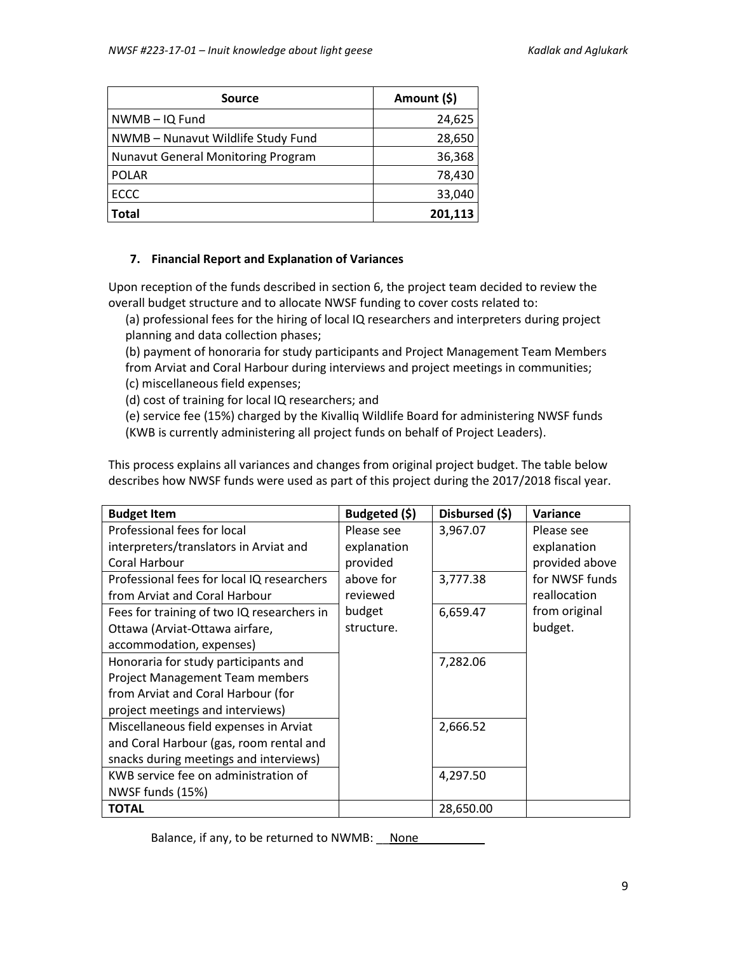| <b>Source</b>                             | Amount (\$) |
|-------------------------------------------|-------------|
| NWMB-IQ Fund                              | 24,625      |
| NWMB - Nunavut Wildlife Study Fund        | 28,650      |
| <b>Nunavut General Monitoring Program</b> | 36,368      |
| <b>POLAR</b>                              | 78,430      |
| <b>ECCC</b>                               | 33,040      |
| Total                                     | 201,113     |

#### **7. Financial Report and Explanation of Variances**

Upon reception of the funds described in section 6, the project team decided to review the overall budget structure and to allocate NWSF funding to cover costs related to:

(a) professional fees for the hiring of local IQ researchers and interpreters during project planning and data collection phases;

(b) payment of honoraria for study participants and Project Management Team Members from Arviat and Coral Harbour during interviews and project meetings in communities; (c) miscellaneous field expenses;

(d) cost of training for local IQ researchers; and

(e) service fee (15%) charged by the Kivalliq Wildlife Board for administering NWSF funds (KWB is currently administering all project funds on behalf of Project Leaders).

This process explains all variances and changes from original project budget. The table below describes how NWSF funds were used as part of this project during the 2017/2018 fiscal year.

| <b>Budget Item</b>                         | Budgeted (\$) | Disbursed (\$) | Variance       |
|--------------------------------------------|---------------|----------------|----------------|
| Professional fees for local                | Please see    | 3,967.07       | Please see     |
| interpreters/translators in Arviat and     | explanation   |                | explanation    |
| Coral Harbour                              | provided      |                | provided above |
| Professional fees for local IQ researchers | above for     | 3,777.38       | for NWSF funds |
| from Arviat and Coral Harbour              | reviewed      |                | reallocation   |
| Fees for training of two IQ researchers in | budget        | 6,659.47       | from original  |
| Ottawa (Arviat-Ottawa airfare,             | structure.    |                | budget.        |
| accommodation, expenses)                   |               |                |                |
| Honoraria for study participants and       |               | 7,282.06       |                |
| <b>Project Management Team members</b>     |               |                |                |
| from Arviat and Coral Harbour (for         |               |                |                |
| project meetings and interviews)           |               |                |                |
| Miscellaneous field expenses in Arviat     |               | 2,666.52       |                |
| and Coral Harbour (gas, room rental and    |               |                |                |
| snacks during meetings and interviews)     |               |                |                |
| KWB service fee on administration of       |               | 4,297.50       |                |
| NWSF funds (15%)                           |               |                |                |
| <b>TOTAL</b>                               |               | 28,650.00      |                |

Balance, if any, to be returned to NWMB: None